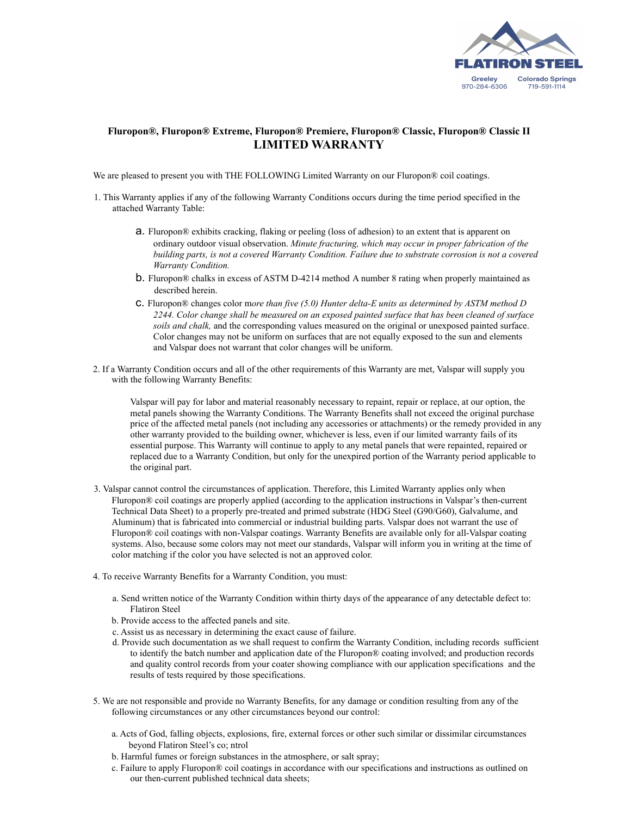

## **Fluropon®, Fluropon® Extreme, Fluropon® Premiere, Fluropon® Classic, Fluropon® Classic II LIMITED WARRANTY**

We are pleased to present you with THE FOLLOWING Limited Warranty on our Fluropon® coil coatings.

- 1. This Warranty applies if any of the following Warranty Conditions occurs during the time period specified in the attached Warranty Table:
	- a. Fluropon® exhibits cracking, flaking or peeling (loss of adhesion) to an extent that is apparent on ordinary outdoor visual observation. *Minute fracturing, which may occur in proper fabrication of the building parts, is not a covered Warranty Condition. Failure due to substrate corrosion is not a covered Warranty Condition.*
	- b. Fluropon® chalks in excess of ASTM D-4214 method A number 8 rating when properly maintained as described herein.
	- c. Fluropon® changes color m*ore than five (5.0) Hunter delta-E units as determined by ASTM method D 2244. Color change shall be measured on an exposed painted surface that has been cleaned of surface soils and chalk,* and the corresponding values measured on the original or unexposed painted surface. Color changes may not be uniform on surfaces that are not equally exposed to the sun and elements and Valspar does not warrant that color changes will be uniform.
- 2. If a Warranty Condition occurs and all of the other requirements of this Warranty are met, Valspar will supply you with the following Warranty Benefits:

Valspar will pay for labor and material reasonably necessary to repaint, repair or replace, at our option, the metal panels showing the Warranty Conditions. The Warranty Benefits shall not exceed the original purchase price of the affected metal panels (not including any accessories or attachments) or the remedy provided in any other warranty provided to the building owner, whichever is less, even if our limited warranty fails of its essential purpose. This Warranty will continue to apply to any metal panels that were repainted, repaired or replaced due to a Warranty Condition, but only for the unexpired portion of the Warranty period applicable to the original part.

- 3. Valspar cannot control the circumstances of application. Therefore, this Limited Warranty applies only when Fluropon® coil coatings are properly applied (according to the application instructions in Valspar's then-current Technical Data Sheet) to a properly pre-treated and primed substrate (HDG Steel (G90/G60), Galvalume, and Aluminum) that is fabricated into commercial or industrial building parts. Valspar does not warrant the use of Fluropon® coil coatings with non-Valspar coatings. Warranty Benefits are available only for all-Valspar coating systems. Also, because some colors may not meet our standards, Valspar will inform you in writing at the time of color matching if the color you have selected is not an approved color.
- 4. To receive Warranty Benefits for a Warranty Condition, you must:
	- a. Send written notice of the Warranty Condition within thirty days of the appearance of any detectable defect to: Flatiron Steel
	- b. Provide access to the affected panels and site.
	- c. Assist us as necessary in determining the exact cause of failure.
	- d. Provide such documentation as we shall request to confirm the Warranty Condition, including records sufficient to identify the batch number and application date of the Fluropon® coating involved; and production records and quality control records from your coater showing compliance with our application specifications and the results of tests required by those specifications.
- 5. We are not responsible and provide no Warranty Benefits, for any damage or condition resulting from any of the following circumstances or any other circumstances beyond our control:
	- a. Acts of God, falling objects, explosions, fire, external forces or other such similar or dissimilar circumstances beyond Flatiron Steel's co; ntrol
	- b. Harmful fumes or foreign substances in the atmosphere, or salt spray;
	- c. Failure to apply Fluropon® coil coatings in accordance with our specifications and instructions as outlined on our then-current published technical data sheets;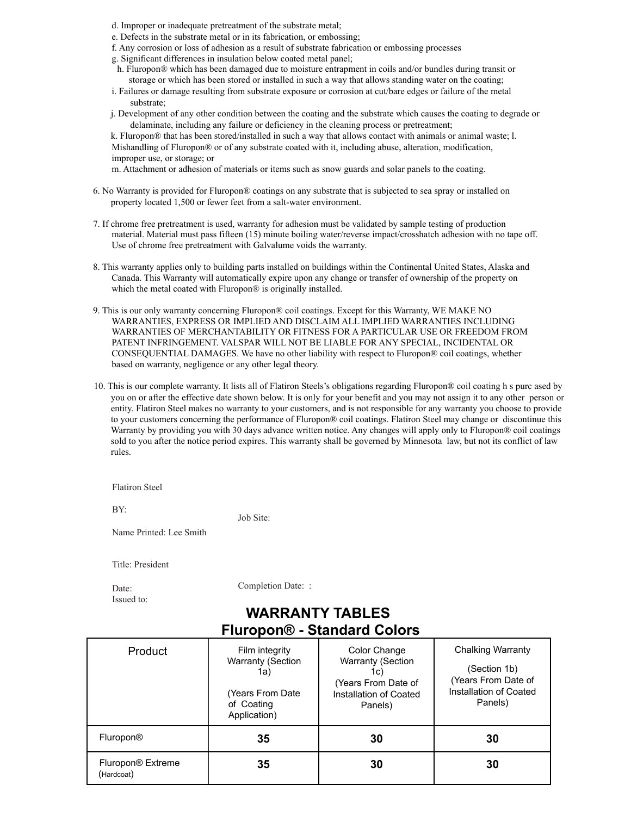- d. Improper or inadequate pretreatment of the substrate metal;
- e. Defects in the substrate metal or in its fabrication, or embossing;
- f. Any corrosion or loss of adhesion as a result of substrate fabrication or embossing processes
- g. Significant differences in insulation below coated metal panel;
- h. Fluropon® which has been damaged due to moisture entrapment in coils and/or bundles during transit or storage or which has been stored or installed in such a way that allows standing water on the coating;
- i. Failures or damage resulting from substrate exposure or corrosion at cut/bare edges or failure of the metal substrate;
- j. Development of any other condition between the coating and the substrate which causes the coating to degrade or delaminate, including any failure or deficiency in the cleaning process or pretreatment;

k. Fluropon® that has been stored/installed in such a way that allows contact with animals or animal waste; l. Mishandling of Fluropon® or of any substrate coated with it, including abuse, alteration, modification, improper use, or storage; or

m. Attachment or adhesion of materials or items such as snow guards and solar panels to the coating.

- 6. No Warranty is provided for Fluropon® coatings on any substrate that is subjected to sea spray or installed on property located 1,500 or fewer feet from a salt-water environment.
- 7. If chrome free pretreatment is used, warranty for adhesion must be validated by sample testing of production material. Material must pass fifteen (15) minute boiling water/reverse impact/crosshatch adhesion with no tape off. Use of chrome free pretreatment with Galvalume voids the warranty.
- 8. This warranty applies only to building parts installed on buildings within the Continental United States, Alaska and Canada. This Warranty will automatically expire upon any change or transfer of ownership of the property on which the metal coated with Fluropon® is originally installed.
- 9. This is our only warranty concerning Fluropon® coil coatings. Except for this Warranty, WE MAKE NO WARRANTIES, EXPRESS OR IMPLIED AND DISCLAIM ALL IMPLIED WARRANTIES INCLUDING WARRANTIES OF MERCHANTABILITY OR FITNESS FOR A PARTICULAR USE OR FREEDOM FROM PATENT INFRINGEMENT. VALSPAR WILL NOT BE LIABLE FOR ANY SPECIAL, INCIDENTAL OR CONSEQUENTIAL DAMAGES. We have no other liability with respect to Fluropon® coil coatings, whether based on warranty, negligence or any other legal theory.
- 10. This is our complete warranty. It lists all of Flatiron Steels's obligations regarding Fluropon® coil coating h s purc ased by you on or after the effective date shown below. It is only for your benefit and you may not assign it to any other person or entity. Flatiron Steel makes no warranty to your customers, and is not responsible for any warranty you choose to provide to your customers concerning the performance of Fluropon® coil coatings. Flatiron Steel may change or discontinue this Warranty by providing you with 30 days advance written notice. Any changes will apply only to Fluropon® coil coatings sold to you after the notice period expires. This warranty shall be governed by Minnesota law, but not its conflict of law rules.

Flatiron Steel

BY:

Job Site:

Name Printed: Lee Smith

Title: President

Date: Issued to: Completion Date: :

## **WARRANTY TABLES Fluropon® - Standard Colors**

| <b>Product</b>                  | Film integrity<br><b>Warranty (Section</b><br>1a)<br>(Years From Date)<br>of Coating<br>Application) | Color Change<br><b>Warranty (Section</b><br>1c)<br>(Years From Date of<br>Installation of Coated<br>Panels) | <b>Chalking Warranty</b><br>(Section 1b)<br>(Years From Date of<br>Installation of Coated<br>Panels) |
|---------------------------------|------------------------------------------------------------------------------------------------------|-------------------------------------------------------------------------------------------------------------|------------------------------------------------------------------------------------------------------|
| Fluropon <sup>®</sup>           | 35                                                                                                   | 30                                                                                                          | 30                                                                                                   |
| Fluropon® Extreme<br>(Hardcoat) | 35                                                                                                   | 30                                                                                                          | 30                                                                                                   |